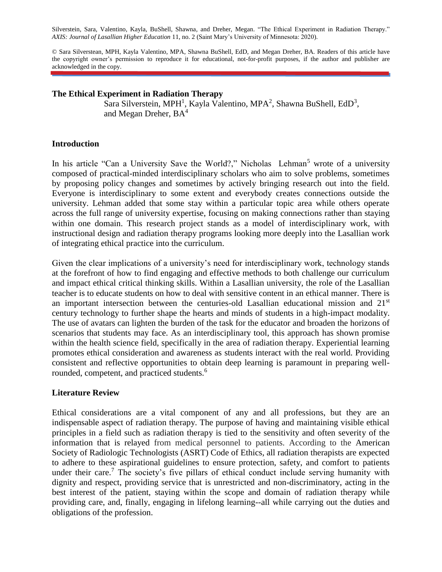Silverstein, Sara, Valentino, Kayla, BuShell, Shawna, and Dreher, Megan. "The Ethical Experiment in Radiation Therapy." *AXIS: Journal of Lasallian Higher Education* 11, no. 2 (Saint Mary's University of Minnesota: 2020).

© Sara Silverstean, MPH, Kayla Valentino, MPA, Shawna BuShell, EdD, and Megan Dreher, BA. Readers of this article have the copyright owner's permission to reproduce it for educational, not-for-profit purposes, if the author and publisher are acknowledged in the copy.

#### **The Ethical Experiment in Radiation Therapy**

Sara Silverstein, MPH<sup>1</sup>, Kayla Valentino, MPA<sup>2</sup>, Shawna BuShell, EdD<sup>3</sup>, and Megan Dreher, BA<sup>4</sup>

#### **Introduction**

In his article "Can a University Save the World?," Nicholas Lehman<sup>5</sup> wrote of a university composed of practical-minded interdisciplinary scholars who aim to solve problems, sometimes by proposing policy changes and sometimes by actively bringing research out into the field. Everyone is interdisciplinary to some extent and everybody creates connections outside the university. Lehman added that some stay within a particular topic area while others operate across the full range of university expertise, focusing on making connections rather than staying within one domain. This research project stands as a model of interdisciplinary work, with instructional design and radiation therapy programs looking more deeply into the Lasallian work of integrating ethical practice into the curriculum.

Given the clear implications of a university's need for interdisciplinary work, technology stands at the forefront of how to find engaging and effective methods to both challenge our curriculum and impact ethical critical thinking skills. Within a Lasallian university, the role of the Lasallian teacher is to educate students on how to deal with sensitive content in an ethical manner. There is an important intersection between the centuries-old Lasallian educational mission and  $21<sup>st</sup>$ century technology to further shape the hearts and minds of students in a high-impact modality. The use of avatars can lighten the burden of the task for the educator and broaden the horizons of scenarios that students may face. As an interdisciplinary tool, this approach has shown promise within the health science field, specifically in the area of radiation therapy. Experiential learning promotes ethical consideration and awareness as students interact with the real world. Providing consistent and reflective opportunities to obtain deep learning is paramount in preparing wellrounded, competent, and practiced students.<sup>6</sup>

## **Literature Review**

Ethical considerations are a vital component of any and all professions, but they are an indispensable aspect of radiation therapy. The purpose of having and maintaining visible ethical principles in a field such as radiation therapy is tied to the sensitivity and often severity of the information that is relayed from medical personnel to patients. According to the American Society of Radiologic Technologists (ASRT) Code of Ethics, all radiation therapists are expected to adhere to these aspirational guidelines to ensure protection, safety, and comfort to patients under their care.<sup>7</sup> The society's five pillars of ethical conduct include serving humanity with dignity and respect, providing service that is unrestricted and non-discriminatory, acting in the best interest of the patient, staying within the scope and domain of radiation therapy while providing care, and, finally, engaging in lifelong learning--all while carrying out the duties and obligations of the profession.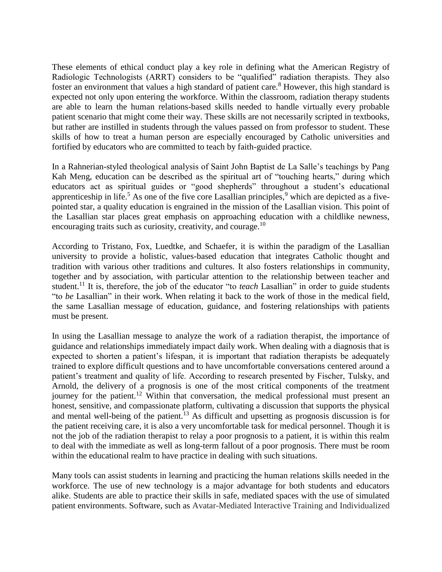These elements of ethical conduct play a key role in defining what the American Registry of Radiologic Technologists (ARRT) considers to be "qualified" radiation therapists. They also foster an environment that values a high standard of patient care.<sup>8</sup> However, this high standard is expected not only upon entering the workforce. Within the classroom, radiation therapy students are able to learn the human relations-based skills needed to handle virtually every probable patient scenario that might come their way. These skills are not necessarily scripted in textbooks, but rather are instilled in students through the values passed on from professor to student. These skills of how to treat a human person are especially encouraged by Catholic universities and fortified by educators who are committed to teach by faith-guided practice.

In a Rahnerian-styled theological analysis of Saint John Baptist de La Salle's teachings by Pang Kah Meng, education can be described as the spiritual art of "touching hearts," during which educators act as spiritual guides or "good shepherds" throughout a student's educational apprenticeship in life.<sup>5</sup> As one of the five core Lasallian principles,  $9$  which are depicted as a fivepointed star, a quality education is engrained in the mission of the Lasallian vision. This point of the Lasallian star places great emphasis on approaching education with a childlike newness, encouraging traits such as curiosity, creativity, and courage.<sup>10</sup>

According to Tristano, Fox, Luedtke, and Schaefer, it is within the paradigm of the Lasallian university to provide a holistic, values-based education that integrates Catholic thought and tradition with various other traditions and cultures. It also fosters relationships in community, together and by association, with particular attention to the relationship between teacher and student.<sup>11</sup> It is, therefore, the job of the educator "to *teach* Lasallian" in order to guide students "to *be* Lasallian" in their work. When relating it back to the work of those in the medical field, the same Lasallian message of education, guidance, and fostering relationships with patients must be present.

In using the Lasallian message to analyze the work of a radiation therapist, the importance of guidance and relationships immediately impact daily work. When dealing with a diagnosis that is expected to shorten a patient's lifespan, it is important that radiation therapists be adequately trained to explore difficult questions and to have uncomfortable conversations centered around a patient's treatment and quality of life. According to research presented by Fischer, Tulsky, and Arnold, the delivery of a prognosis is one of the most critical components of the treatment journey for the patient.<sup>12</sup> Within that conversation, the medical professional must present an honest, sensitive, and compassionate platform, cultivating a discussion that supports the physical and mental well-being of the patient.<sup>13</sup> As difficult and upsetting as prognosis discussion is for the patient receiving care, it is also a very uncomfortable task for medical personnel. Though it is not the job of the radiation therapist to relay a poor prognosis to a patient, it is within this realm to deal with the immediate as well as long-term fallout of a poor prognosis. There must be room within the educational realm to have practice in dealing with such situations.

Many tools can assist students in learning and practicing the human relations skills needed in the workforce. The use of new technology is a major advantage for both students and educators alike. Students are able to practice their skills in safe, mediated spaces with the use of simulated patient environments. Software, such as Avatar-Mediated Interactive Training and Individualized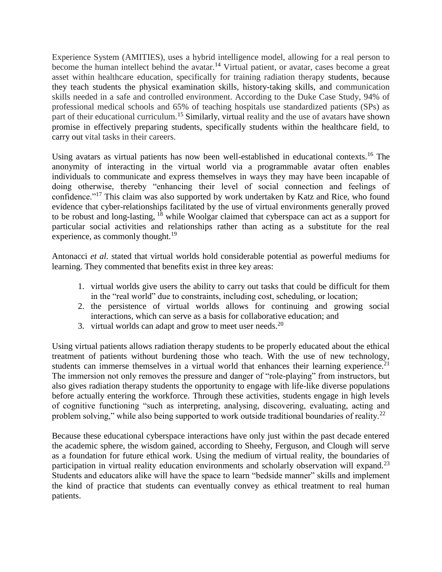Experience System (AMITIES), uses a hybrid intelligence model, allowing for a real person to become the human intellect behind the avatar.<sup>14</sup> Virtual patient, or avatar, cases become a great asset within healthcare education, specifically for training radiation therapy students, because they teach students the physical examination skills, history-taking skills, and communication skills needed in a safe and controlled environment. According to the Duke Case Study, 94% of professional medical schools and 65% of teaching hospitals use standardized patients (SPs) as part of their educational curriculum.<sup>15</sup> Similarly, virtual reality and the use of avatars have shown promise in effectively preparing students, specifically students within the healthcare field, to carry out vital tasks in their careers.

Using avatars as virtual patients has now been well-established in educational contexts.<sup>16</sup> The anonymity of interacting in the virtual world via a programmable avatar often enables individuals to communicate and express themselves in ways they may have been incapable of doing otherwise, thereby "enhancing their level of social connection and feelings of confidence."<sup>17</sup> This claim was also supported by work undertaken by Katz and Rice, who found evidence that cyber-relationships facilitated by the use of virtual environments generally proved to be robust and long-lasting, <sup>18</sup> while Woolgar claimed that cyberspace can act as a support for particular social activities and relationships rather than acting as a substitute for the real experience, as commonly thought.<sup>19</sup>

Antonacci *et al.* stated that virtual worlds hold considerable potential as powerful mediums for learning. They commented that benefits exist in three key areas:

- 1. virtual worlds give users the ability to carry out tasks that could be difficult for them in the "real world" due to constraints, including cost, scheduling, or location;
- 2. the persistence of virtual worlds allows for continuing and growing social interactions, which can serve as a basis for collaborative education; and
- 3. virtual worlds can adapt and grow to meet user needs.<sup>20</sup>

Using virtual patients allows radiation therapy students to be properly educated about the ethical treatment of patients without burdening those who teach. With the use of new technology, students can immerse themselves in a virtual world that enhances their learning experience.<sup>21</sup> The immersion not only removes the pressure and danger of "role-playing" from instructors, but also gives radiation therapy students the opportunity to engage with life-like diverse populations before actually entering the workforce. Through these activities, students engage in high levels of cognitive functioning "such as interpreting, analysing, discovering, evaluating, acting and problem solving," while also being supported to work outside traditional boundaries of reality.<sup>22</sup>

Because these educational cyberspace interactions have only just within the past decade entered the academic sphere, the wisdom gained, according to Sheehy, Ferguson, and Clough will serve as a foundation for future ethical work. Using the medium of virtual reality, the boundaries of participation in virtual reality education environments and scholarly observation will expand.<sup>23</sup> Students and educators alike will have the space to learn "bedside manner" skills and implement the kind of practice that students can eventually convey as ethical treatment to real human patients.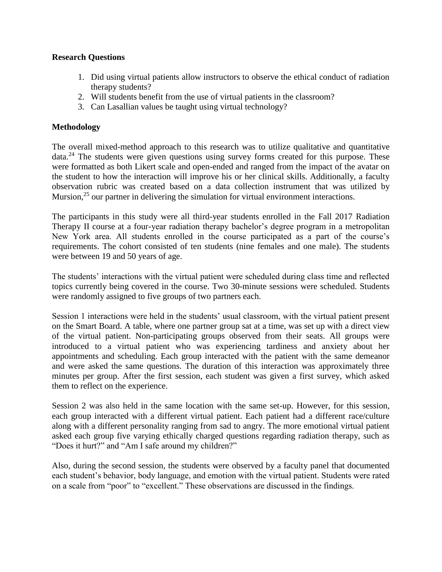# **Research Questions**

- 1. Did using virtual patients allow instructors to observe the ethical conduct of radiation therapy students?
- 2. Will students benefit from the use of virtual patients in the classroom?
- 3. Can Lasallian values be taught using virtual technology?

# **Methodology**

The overall mixed-method approach to this research was to utilize qualitative and quantitative  $data.<sup>24</sup>$  The students were given questions using survey forms created for this purpose. These were formatted as both Likert scale and open-ended and ranged from the impact of the avatar on the student to how the interaction will improve his or her clinical skills. Additionally, a faculty observation rubric was created based on a data collection instrument that was utilized by Mursion,<sup>25</sup> our partner in delivering the simulation for virtual environment interactions.

The participants in this study were all third-year students enrolled in the Fall 2017 Radiation Therapy II course at a four-year radiation therapy bachelor's degree program in a metropolitan New York area. All students enrolled in the course participated as a part of the course's requirements. The cohort consisted of ten students (nine females and one male). The students were between 19 and 50 years of age.

The students' interactions with the virtual patient were scheduled during class time and reflected topics currently being covered in the course. Two 30-minute sessions were scheduled. Students were randomly assigned to five groups of two partners each.

Session 1 interactions were held in the students' usual classroom, with the virtual patient present on the Smart Board. A table, where one partner group sat at a time, was set up with a direct view of the virtual patient. Non-participating groups observed from their seats. All groups were introduced to a virtual patient who was experiencing tardiness and anxiety about her appointments and scheduling. Each group interacted with the patient with the same demeanor and were asked the same questions. The duration of this interaction was approximately three minutes per group. After the first session, each student was given a first survey, which asked them to reflect on the experience.

Session 2 was also held in the same location with the same set-up. However, for this session, each group interacted with a different virtual patient. Each patient had a different race/culture along with a different personality ranging from sad to angry. The more emotional virtual patient asked each group five varying ethically charged questions regarding radiation therapy, such as "Does it hurt?" and "Am I safe around my children?"

Also, during the second session, the students were observed by a faculty panel that documented each student's behavior, body language, and emotion with the virtual patient. Students were rated on a scale from "poor" to "excellent." These observations are discussed in the findings.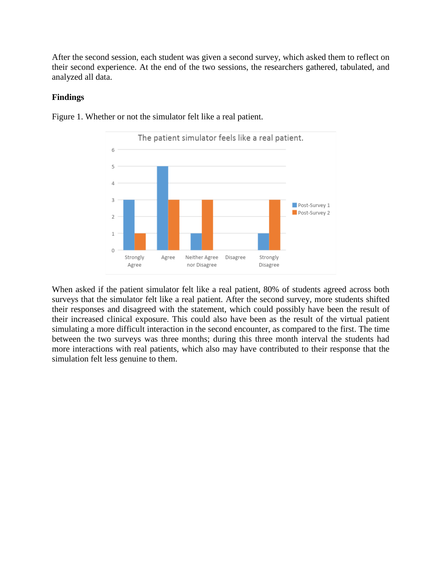After the second session, each student was given a second survey, which asked them to reflect on their second experience. At the end of the two sessions, the researchers gathered, tabulated, and analyzed all data.

### **Findings**



Figure 1. Whether or not the simulator felt like a real patient.

When asked if the patient simulator felt like a real patient, 80% of students agreed across both surveys that the simulator felt like a real patient. After the second survey, more students shifted their responses and disagreed with the statement, which could possibly have been the result of their increased clinical exposure. This could also have been as the result of the virtual patient simulating a more difficult interaction in the second encounter, as compared to the first. The time between the two surveys was three months; during this three month interval the students had more interactions with real patients, which also may have contributed to their response that the simulation felt less genuine to them.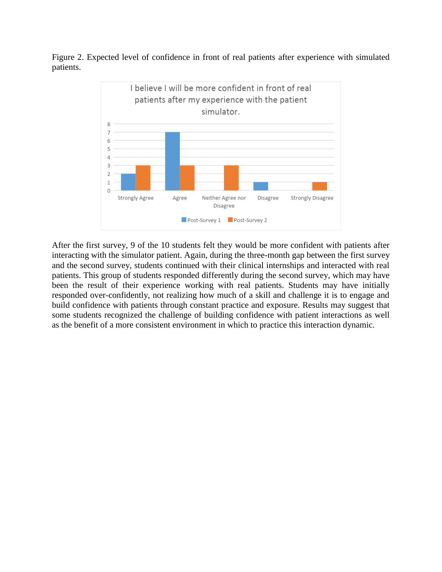Figure 2. Expected level of confidence in front of real patients after experience with simulated patients.



After the first survey, 9 of the 10 students felt they would be more confident with patients after interacting with the simulator patient. Again, during the three-month gap between the first survey and the second survey, students continued with their clinical internships and interacted with real patients. This group of students responded differently during the second survey, which may have been the result of their experience working with real patients. Students may have initially responded over-confidently, not realizing how much of a skill and challenge it is to engage and build confidence with patients through constant practice and exposure. Results may suggest that some students recognized the challenge of building confidence with patient interactions as well as the benefit of a more consistent environment in which to practice this interaction dynamic.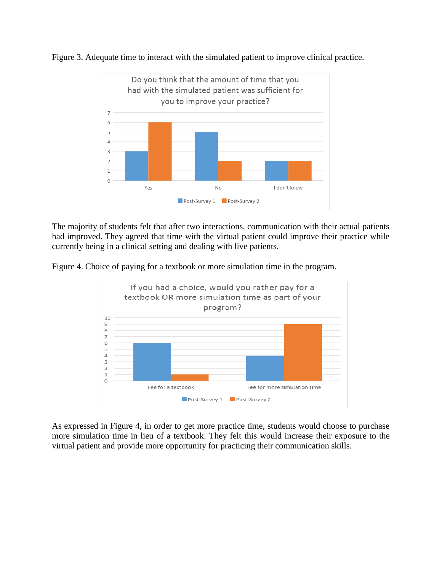

Figure 3. Adequate time to interact with the simulated patient to improve clinical practice.

The majority of students felt that after two interactions, communication with their actual patients had improved. They agreed that time with the virtual patient could improve their practice while currently being in a clinical setting and dealing with live patients.

Figure 4. Choice of paying for a textbook or more simulation time in the program.



As expressed in Figure 4, in order to get more practice time, students would choose to purchase more simulation time in lieu of a textbook. They felt this would increase their exposure to the virtual patient and provide more opportunity for practicing their communication skills.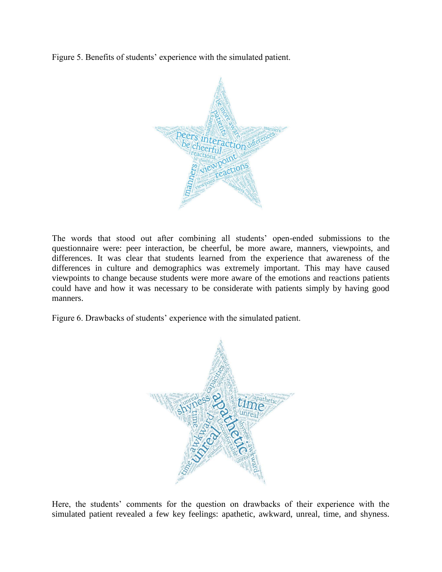Figure 5. Benefits of students' experience with the simulated patient.



The words that stood out after combining all students' open-ended submissions to the questionnaire were: peer interaction, be cheerful, be more aware, manners, viewpoints, and differences. It was clear that students learned from the experience that awareness of the differences in culture and demographics was extremely important. This may have caused viewpoints to change because students were more aware of the emotions and reactions patients could have and how it was necessary to be considerate with patients simply by having good manners.

Figure 6. Drawbacks of students' experience with the simulated patient.



Here, the students' comments for the question on drawbacks of their experience with the simulated patient revealed a few key feelings: apathetic, awkward, unreal, time, and shyness.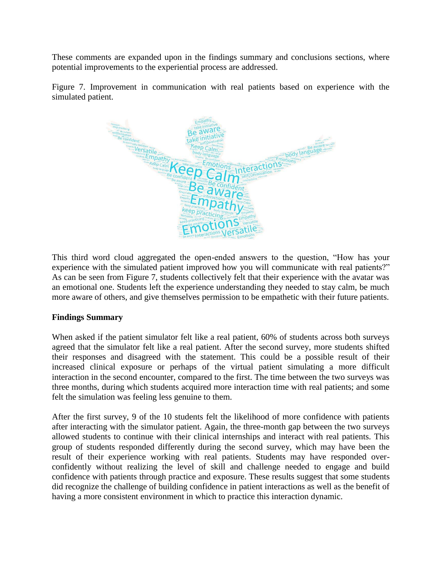These comments are expanded upon in the findings summary and conclusions sections, where potential improvements to the experiential process are addressed.

Figure 7. Improvement in communication with real patients based on experience with the simulated patient.



This third word cloud aggregated the open-ended answers to the question, "How has your experience with the simulated patient improved how you will communicate with real patients?" As can be seen from Figure 7, students collectively felt that their experience with the avatar was an emotional one. Students left the experience understanding they needed to stay calm, be much more aware of others, and give themselves permission to be empathetic with their future patients.

# **Findings Summary**

When asked if the patient simulator felt like a real patient, 60% of students across both surveys agreed that the simulator felt like a real patient. After the second survey, more students shifted their responses and disagreed with the statement. This could be a possible result of their increased clinical exposure or perhaps of the virtual patient simulating a more difficult interaction in the second encounter, compared to the first. The time between the two surveys was three months, during which students acquired more interaction time with real patients; and some felt the simulation was feeling less genuine to them.

After the first survey, 9 of the 10 students felt the likelihood of more confidence with patients after interacting with the simulator patient. Again, the three-month gap between the two surveys allowed students to continue with their clinical internships and interact with real patients. This group of students responded differently during the second survey, which may have been the result of their experience working with real patients. Students may have responded overconfidently without realizing the level of skill and challenge needed to engage and build confidence with patients through practice and exposure. These results suggest that some students did recognize the challenge of building confidence in patient interactions as well as the benefit of having a more consistent environment in which to practice this interaction dynamic.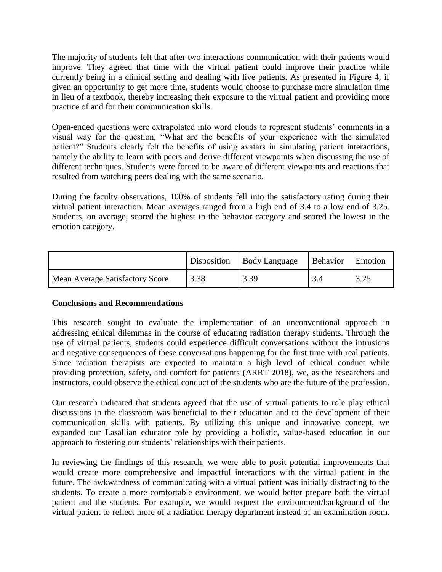The majority of students felt that after two interactions communication with their patients would improve. They agreed that time with the virtual patient could improve their practice while currently being in a clinical setting and dealing with live patients. As presented in Figure 4, if given an opportunity to get more time, students would choose to purchase more simulation time in lieu of a textbook, thereby increasing their exposure to the virtual patient and providing more practice of and for their communication skills.

Open-ended questions were extrapolated into word clouds to represent students' comments in a visual way for the question, "What are the benefits of your experience with the simulated patient?" Students clearly felt the benefits of using avatars in simulating patient interactions, namely the ability to learn with peers and derive different viewpoints when discussing the use of different techniques. Students were forced to be aware of different viewpoints and reactions that resulted from watching peers dealing with the same scenario.

During the faculty observations, 100% of students fell into the satisfactory rating during their virtual patient interaction. Mean averages ranged from a high end of 3.4 to a low end of 3.25. Students, on average, scored the highest in the behavior category and scored the lowest in the emotion category.

|                                 | Disposition | <b>Body Language</b> | Behavior | Emotion |
|---------------------------------|-------------|----------------------|----------|---------|
| Mean Average Satisfactory Score | 3.38        | 3.39                 |          | ل−∠.د   |

## **Conclusions and Recommendations**

This research sought to evaluate the implementation of an unconventional approach in addressing ethical dilemmas in the course of educating radiation therapy students. Through the use of virtual patients, students could experience difficult conversations without the intrusions and negative consequences of these conversations happening for the first time with real patients. Since radiation therapists are expected to maintain a high level of ethical conduct while providing protection, safety, and comfort for patients (ARRT 2018), we, as the researchers and instructors, could observe the ethical conduct of the students who are the future of the profession.

Our research indicated that students agreed that the use of virtual patients to role play ethical discussions in the classroom was beneficial to their education and to the development of their communication skills with patients. By utilizing this unique and innovative concept, we expanded our Lasallian educator role by providing a holistic, value-based education in our approach to fostering our students' relationships with their patients.

In reviewing the findings of this research, we were able to posit potential improvements that would create more comprehensive and impactful interactions with the virtual patient in the future. The awkwardness of communicating with a virtual patient was initially distracting to the students. To create a more comfortable environment, we would better prepare both the virtual patient and the students. For example, we would request the environment/background of the virtual patient to reflect more of a radiation therapy department instead of an examination room.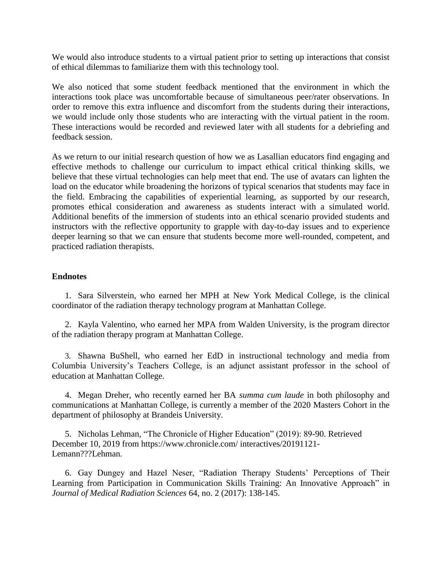We would also introduce students to a virtual patient prior to setting up interactions that consist of ethical dilemmas to familiarize them with this technology tool.

We also noticed that some student feedback mentioned that the environment in which the interactions took place was uncomfortable because of simultaneous peer/rater observations. In order to remove this extra influence and discomfort from the students during their interactions, we would include only those students who are interacting with the virtual patient in the room. These interactions would be recorded and reviewed later with all students for a debriefing and feedback session.

As we return to our initial research question of how we as Lasallian educators find engaging and effective methods to challenge our curriculum to impact ethical critical thinking skills, we believe that these virtual technologies can help meet that end. The use of avatars can lighten the load on the educator while broadening the horizons of typical scenarios that students may face in the field. Embracing the capabilities of experiential learning, as supported by our research, promotes ethical consideration and awareness as students interact with a simulated world. Additional benefits of the immersion of students into an ethical scenario provided students and instructors with the reflective opportunity to grapple with day-to-day issues and to experience deeper learning so that we can ensure that students become more well-rounded, competent, and practiced radiation therapists.

## **Endnotes**

1. Sara Silverstein, who earned her MPH at New York Medical College, is the clinical coordinator of the radiation therapy technology program at Manhattan College.

2. Kayla Valentino, who earned her MPA from Walden University, is the program director of the radiation therapy program at Manhattan College.

3. Shawna BuShell, who earned her EdD in instructional technology and media from Columbia University's Teachers College, is an adjunct assistant professor in the school of education at Manhattan College.

4. Megan Dreher, who recently earned her BA *summa cum laude* in both philosophy and communications at Manhattan College, is currently a member of the 2020 Masters Cohort in the department of philosophy at Brandeis University.

5. Nicholas Lehman, "The Chronicle of Higher Education" (2019): 89-90. Retrieved December 10, 2019 from [https://www.chronicle.com/ interactives/20191121-](https://www.chronicle.com/%20interactives/20191121-Lemann???Lehman) [Lemann???Lehman.](https://www.chronicle.com/%20interactives/20191121-Lemann???Lehman)

6. Gay Dungey and Hazel Neser, "Radiation Therapy Students' Perceptions of Their Learning from Participation in Communication Skills Training: An Innovative Approach" in *Journal of Medical Radiation Sciences* 64, no. 2 (2017): 138-145.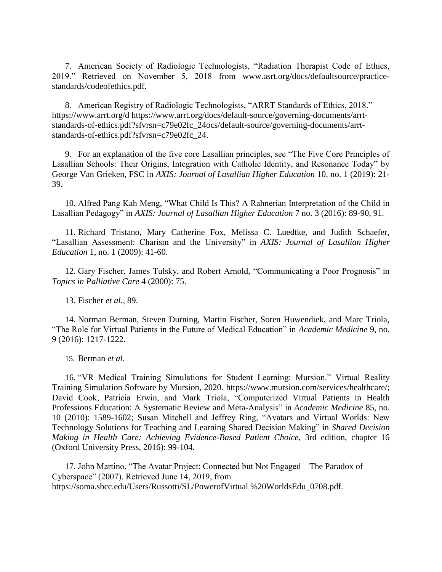7. American Society of Radiologic Technologists, "Radiation Therapist Code of Ethics, 2019." Retrieved on November 5, 2018 from [www.asrt.org/docs/defaultsource/practice](http://www.asrt.org/docs/defaultsource/practice-standards/codeofethics.pdf)[standards/codeofethics.pdf.](http://www.asrt.org/docs/defaultsource/practice-standards/codeofethics.pdf)

8. American Registry of Radiologic Technologists, "ARRT Standards of Ethics, 2018." [https://www.arrt.org/d](https://www.arrt.org/docs/default-source/governing-documents/arrt-standards-of-ethics.pdf?sfvrsn=c79e02fc_24) [https://www.arrt.org/docs/default-source/governing-documents/arrt](https://www.arrt.org/docs/default-source/governing-documents/arrt-standards-of-ethics.pdf?sfvrsn=c79e02fc_24)[standards-of-ethics.pdf?sfvrsn=c79e02fc\\_24ocs/default-source/governing-documents/arrt](https://www.arrt.org/docs/default-source/governing-documents/arrt-standards-of-ethics.pdf?sfvrsn=c79e02fc_24)[standards-of-ethics.pdf?sfvrsn=c79e02fc\\_24.](https://www.arrt.org/docs/default-source/governing-documents/arrt-standards-of-ethics.pdf?sfvrsn=c79e02fc_24)

9. For an explanation of the five core Lasallian principles, see "The Five Core Principles of Lasallian Schools: Their Origins, Integration with Catholic Identity, and Resonance Today" by George Van Grieken, FSC in *AXIS: Journal of Lasallian Higher Education* 10, no. 1 (2019): 21- 39.

10. Alfred Pang Kah Meng, "What Child Is This? A Rahnerian Interpretation of the Child in Lasallian Pedagogy" in *AXIS: Journal of Lasallian Higher Education* 7 no. 3 (2016): 89-90, 91.

11. Richard Tristano, Mary Catherine Fox, Melissa C. Luedtke, and Judith Schaefer, "Lasallian Assessment: Charism and the University" in *AXIS: Journal of Lasallian Higher Education* 1, no. 1 (2009): 41-60.

12. Gary Fischer, James Tulsky, and Robert Arnold, "Communicating a Poor Prognosis" in *Topics in Palliative Care* 4 (2000): 75.

13. Fischer *et al.*, 89.

14. Norman Berman, Steven Durning, Martin Fischer, Soren Huwendiek, and Marc Triola, "The Role for Virtual Patients in the Future of Medical Education" in *Academic Medicine* 9, no. 9 (2016): 1217-1222.

15. Berman *et al*.

16. "VR Medical Training Simulations for Student Learning: Mursion." Virtual Reality Training Simulation Software by Mursion, 2020. [https://www.mursion.com/services/healthcare/;](https://www.mursion.com/services/healthcare/) David Cook, Patricia Erwin, and Mark Triola, "Computerized Virtual Patients in Health Professions Education: A Systematic Review and Meta-Analysis" in *Academic Medicine* 85, no. 10 (2010): 1589-1602; Susan Mitchell and Jeffrey Ring, "Avatars and Virtual Worlds: New Technology Solutions for Teaching and Learning Shared Decision Making" in *Shared Decision Making in Health Care: Achieving Evidence-Based Patient Choice*, 3rd edition, chapter 16 (Oxford University Press, 2016): 99-104.

17. John Martino, "The Avatar Project: Connected but Not Engaged – The Paradox of Cyberspace" (2007). Retrieved June 14, 2019, from [https://soma.sbcc.edu/Users/Russotti/SL/PowerofVirtual](https://soma.sbcc.edu/Users/Russotti/SL/PowerofVirtual%20%20WorldsEdu_0708.pdf) [%20WorldsEdu\\_0708.pdf.](https://soma.sbcc.edu/Users/Russotti/SL/PowerofVirtual%20%20WorldsEdu_0708.pdf)